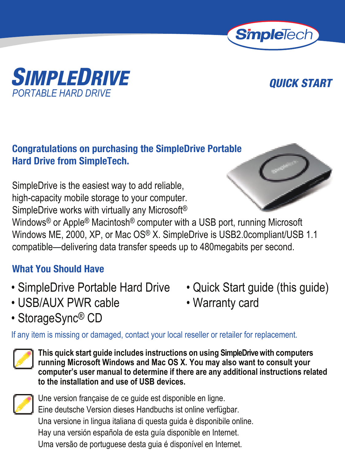



### **Congratulations on purchasing the SimpleDrive Portable Hard Drive from SimpleTech.**

SimpleDrive is the easiest way to add reliable, high-capacity mobile storage to your computer. SimpleDrive works with virtually any Microsoft®



Windows® or Apple® Macintosh® computer with a USB port, running Microsoft Windows ME, 2000, XP, or Mac OS® X. SimpleDrive is USB2.0compliant/USB 1.1 compatible—delivering data transfer speeds up to 480megabits per second.

### **What You Should Have**

- SimpleDrive Portable Hard Drive Quick Start quide (this quide)
- USB/AUX PWR cable Warranty card
- StorageSync® CD
- 
- 

If any item is missing or damaged, contact your local reseller or retailer for replacement.



**This quick start guide includes instructions on using SimpleDrive with computers running Microsoft Windows and Mac OS X. You may also want to consult your computer's user manual to determine if there are any additional instructions related to the installation and use of USB devices.**



Une version française de ce guide est disponible en ligne. Eine deutsche Version dieses Handbuchs ist online verfügbar. Una versione in lingua italiana di questa guida è disponibile online. Hay una versión española de esta guía disponible en Internet. Uma versão de portuguese desta guia é disponível en Internet.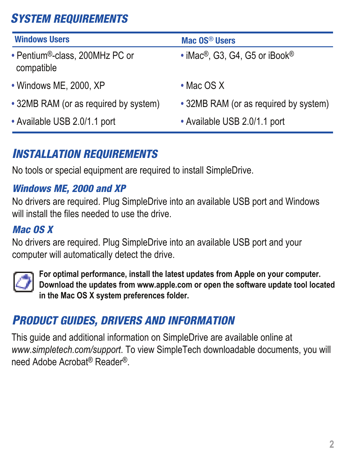## *SYSTEM REQUIREMENTS*

| <b>Windows Users</b>                                      | Mac OS <sup>®</sup> Users                              |
|-----------------------------------------------------------|--------------------------------------------------------|
| • Pentium <sup>®</sup> -class, 200MHz PC or<br>compatible | • iMac <sup>®</sup> , G3, G4, G5 or iBook <sup>®</sup> |
| • Windows ME, 2000, XP                                    | $\cdot$ Mac OS X                                       |
| • 32MB RAM (or as required by system)                     | • 32MB RAM (or as required by system)                  |
| • Available USB 2.0/1.1 port                              | • Available USB 2.0/1.1 port                           |

## *INSTALLATION REQUIREMENTS*

No tools or special equipment are required to install SimpleDrive.

#### *Windows ME, 2000 and XP*

No drivers are required. Plug SimpleDrive into an available USB port and Windows will install the files needed to use the drive.

#### *Mac OS X*

No drivers are required. Plug SimpleDrive into an available USB port and your computer will automatically detect the drive.



**For optimal performance, install the latest updates from Apple on your computer. Download the updates from www.apple.com or open the software update tool located in the Mac OS X system preferences folder.**

## *PRODUCT GUIDES, DRIVERS AND INFORMATION*

This guide and additional information on SimpleDrive are available online at *www.simpletech.com/support*. To view SimpleTech downloadable documents, you will need Adobe Acrobat® Reader®.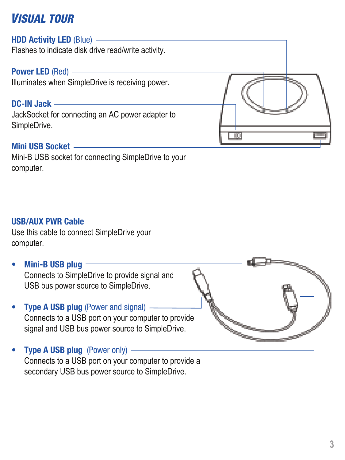## *VISUAL TOUR*

#### **HDD Activity LED** (Blue)

Flashes to indicate disk drive read/write activity.

#### **Power LED** (Red)

Illuminates when SimpleDrive is receiving power.

#### **DC-IN Jack**

JackSocket for connecting an AC power adapter to SimpleDrive.

#### **Mini USB Socket**

Mini-B USB socket for connecting SimpleDrive to your computer.

 $\overline{100}$ 

#### **USB/AUX PWR Cable**

Use this cable to connect SimpleDrive your computer.

- **Mini-B USB plug** Connects to SimpleDrive to provide signal and USB bus power source to SimpleDrive.
- **Type A USB plug (Power and signal) -**Connects to a USB port on your computer to provide signal and USB bus power source to SimpleDrive.
- **Type A USB plug** (Power only) Connects to a USB port on your computer to provide a secondary USB bus power source to SimpleDrive.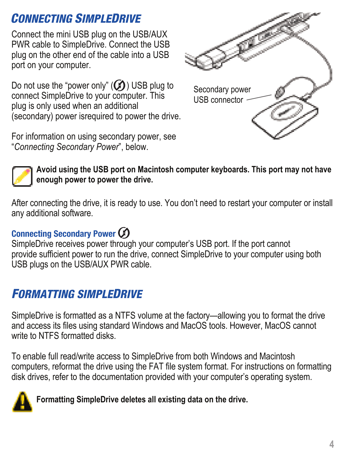## *CONNECTING SIMPLEDRIVE*

Connect the mini USB plug on the USB/AUX PWR cable to SimpleDrive. Connect the USB plug on the other end of the cable into a USB port on your computer.

Do not use the "power only"  $(Q)$ ) USB plug to connect SimpleDrive to your computer. This plug is only used when an additional (secondary) power isrequired to power the drive.

For information on using secondary power, see "*Connecting Secondary Power*", below.





**Avoid using the USB port on Macintosh computer keyboards. This port may not have enough power to power the drive.**

After connecting the drive, it is ready to use. You don't need to restart your computer or install any additional software.

#### **Connecting Secondary Power**

SimpleDrive receives power through your computer's USB port. If the port cannot provide sufficient power to run the drive, connect SimpleDrive to your computer using both USB plugs on the USB/AUX PWR cable.

## *FORMATTING SIMPLEDRIVE*

SimpleDrive is formatted as a NTFS volume at the factory—allowing you to format the drive and access its files using standard Windows and MacOS tools. However, MacOS cannot write to NTFS formatted disks.

To enable full read/write access to SimpleDrive from both Windows and Macintosh computers, reformat the drive using the FAT file system format. For instructions on formatting disk drives, refer to the documentation provided with your computer's operating system.



**Formatting SimpleDrive deletes all existing data on the drive.**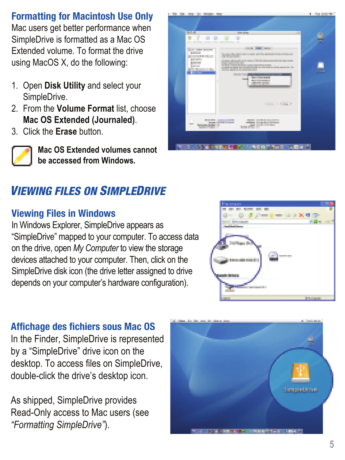### **Formatting for Macintosh Use Only**

Mac users get better performance when SimpleDrive is formatted as a Mac OS Extended volume. To format the drive using MacOS X, do the following:

- 1. Open **Disk Utility** and select your SimpleDrive.
- 2. From the **Volume Format** list, choose **Mac OS Extended (Journaled)**.
- 3. Click the **Erase** button.



**Mac OS Extended volumes cannot be accessed from Windows.**

## *VIEWING FILES ON SIMPLEDRIVE*

#### **Viewing Files in Windows**

In Windows Explorer, SimpleDrive appears as "SimpleDrive" mapped to your computer. To access data on the drive, open *My Computer* to view the storage devices attached to your computer. Then, click on the SimpleDrive disk icon (the drive letter assigned to drive depends on your computer's hardware configuration).



#### **Affichage des fichiers sous Mac OS**

In the Finder, SimpleDrive is represented by a "SimpleDrive" drive icon on the desktop. To access files on SimpleDrive, double-click the drive's desktop icon.

As shipped, SimpleDrive provides Read-Only access to Mac users (see *"Formatting SimpleDrive"*).

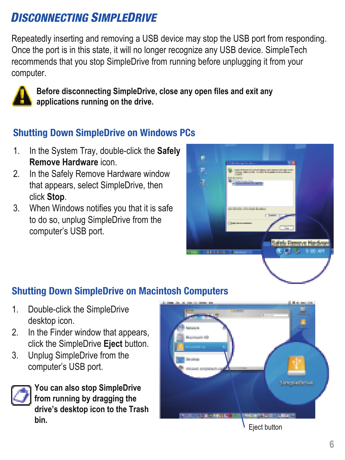## *DISCONNECTING SIMPLEDRIVE*

Repeatedly inserting and removing a USB device may stop the USB port from responding. Once the port is in this state, it will no longer recognize any USB device. SimpleTech recommends that you stop SimpleDrive from running before unplugging it from your computer.



**Before disconnecting SimpleDrive, close any open files and exit any applications running on the drive.** 

#### **Shutting Down SimpleDrive on Windows PCs**

- 1. In the System Tray, double-click the **Safely Remove Hardware** icon.
- 2. In the Safely Remove Hardware window that appears, select SimpleDrive, then click **Stop**.
- 3. When Windows notifies you that it is safe to do so, unplug SimpleDrive from the computer's USB port.

| <b>And Committee Ave</b>                                                      |
|-------------------------------------------------------------------------------|
| the Monte of the Property Man                                                 |
| all offers all class from the                                                 |
| Safely Permyre Handlews<br><b>R. D. S. S. S. DO. AN</b><br><b>BELGIA BALL</b> |
|                                                                               |

### **Shutting Down SimpleDrive on Macintosh Computers**

- 1. Double-click the SimpleDrive desktop icon.
- 2. In the Finder window that appears, click the SimpleDrive **Eject** button.
- 3. Unplug SimpleDrive from the computer's USB port.



**You can also stop SimpleDrive from running by dragging the drive's desktop icon to the Trash bin.**



Eject button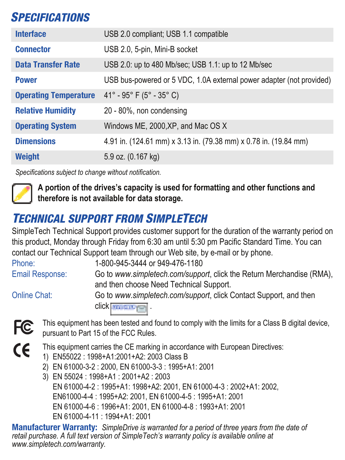## *SPECIFICATIONS*

| <b>Interface</b>             | USB 2.0 compliant; USB 1.1 compatible                                |
|------------------------------|----------------------------------------------------------------------|
| <b>Connector</b>             | USB 2.0, 5-pin, Mini-B socket                                        |
| <b>Data Transfer Rate</b>    | USB 2.0: up to 480 Mb/sec; USB 1.1: up to 12 Mb/sec                  |
| <b>Power</b>                 | USB bus-powered or 5 VDC, 1.0A external power adapter (not provided) |
| <b>Operating Temperature</b> | 41° - 95° F (5° - 35° C)                                             |
| <b>Relative Humidity</b>     | 20 - 80%, non condensing                                             |
| <b>Operating System</b>      | Windows ME, 2000, XP, and Mac OS X                                   |
| <b>Dimensions</b>            | 4.91 in. (124.61 mm) x 3.13 in. (79.38 mm) x 0.78 in. (19.84 mm)     |
| Weight                       | 5.9 oz. (0.167 kg)                                                   |

*Specifications subject to change without notification.*



**A portion of the drives's capacity is used for formatting and other functions and therefore is not available for data storage.**

## *TECHNICAL SUPPORT FROM SIMPLETECH*

SimpleTech Technical Support provides customer support for the duration of the warranty period on this product, Monday through Friday from 6:30 am until 5:30 pm Pacific Standard Time. You can contact our Technical Support team through our Web site, by e-mail or by phone.

Phone: 1-800-945-3444 or 949-476-1180 Email Response: Go to *www.simpletech.com/support*, click the Return Merchandise (RMA), and then choose Need Technical Support.

Online Chat: Go to *www.simpletech.com/support*, click Contact Support, and then click **..........** 



This equipment has been tested and found to comply with the limits for a Class B digital device, pursuant to Part 15 of the FCC Rules.



This equipment carries the CE marking in accordance with European Directives:

- 1) EN55022 : 1998+A1:2001+A2: 2003 Class B
- 2) EN 61000-3-2 : 2000, EN 61000-3-3 : 1995+A1: 2001
- 3) EN 55024 : 1998+A1 : 2001+A2 : 2003 EN 61000-4-2 : 1995+A1: 1998+A2: 2001, EN 61000-4-3 : 2002+A1: 2002, EN61000-4-4 : 1995+A2: 2001, EN 61000-4-5 : 1995+A1: 2001 EN 61000-4-6 : 1996+A1: 2001, EN 61000-4-8 : 1993+A1: 2001 EN 61000-4-11 : 1994+A1: 2001

**Manufacturer Warranty:** *SimpleDrive is warranted for a period of three years from the date of retail purchase. A full text version of SimpleTech's warranty policy is available online at www.simpletech.com/warranty.*